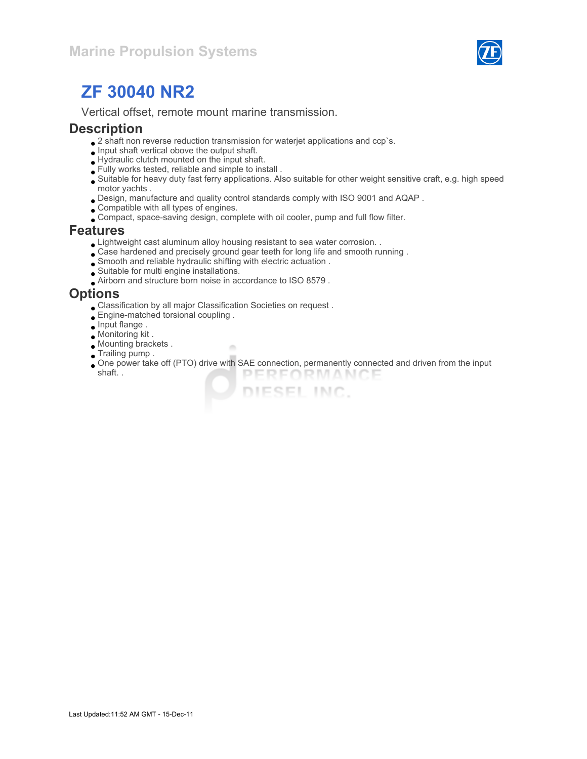

Vertical offset, remote mount marine transmission.

#### **Description**

- $\bullet$  2 shaft non reverse reduction transmission for waterjet applications and ccp`s.
- $\bullet$  Input shaft vertical obove the output shaft.
- Hydraulic clutch mounted on the input shaft.
- Fully works tested, reliable and simple to install .
- Suitable for heavy duty fast ferry applications. Also suitable for other weight sensitive craft, e.g. high speed motor yachts .
- Design, manufacture and quality control standards comply with ISO 9001 and AQAP .
- Compatible with all types of engines.
- Compact, space-saving design, complete with oil cooler, pump and full flow filter.

#### Features

Lightweight cast aluminum alloy housing resistant to sea water corrosion. .

×

- Case hardened and precisely ground gear teeth for long life and smooth running .
- Smooth and reliable hydraulic shifting with electric actuation .
- Suitable for multi engine installations.
- Airborn and structure born noise in accordance to ISO 8579 .

#### **Options**

- Classification by all major Classification Societies on request .
- Engine-matched torsional coupling .
- $\bullet$  Input flange.
- Monitoring kit .
- Mounting brackets .
- **Trailing pump.**
- One power take off (PTO) drive with SAE connection, permanently connected and driven from the input shaft. . PERFORMANCE

DIESEL INC.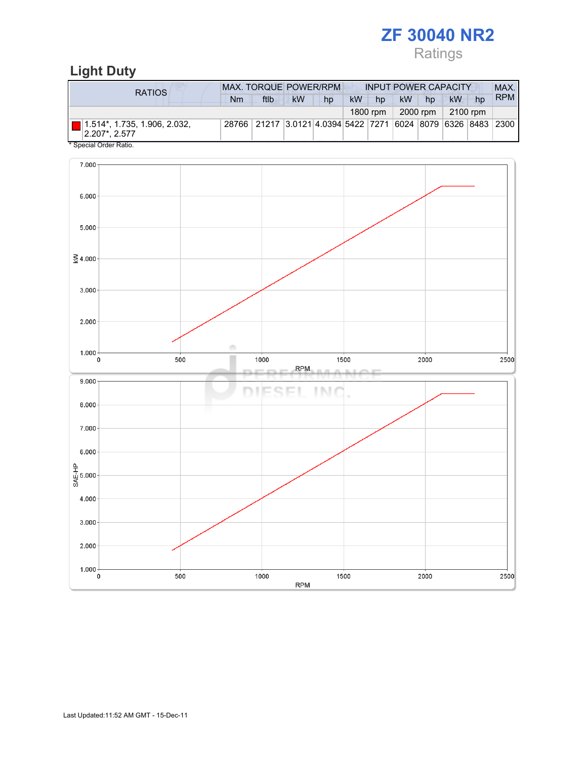# Ratings

## Light Duty

| RATIOS                                            | <b>MAX. TORQUE POWER/RPM</b> |                                                              |           |    | <b>INPUT POWER CAPACITY</b> |          |           |          |           |    | MAX.       |
|---------------------------------------------------|------------------------------|--------------------------------------------------------------|-----------|----|-----------------------------|----------|-----------|----------|-----------|----|------------|
|                                                   | Nm                           | ftlb                                                         | <b>kW</b> | hp | kW                          | hp       | <b>kW</b> | hp       | <b>kW</b> | hp | <b>RPM</b> |
|                                                   |                              |                                                              |           |    |                             | 1800 rpm |           | 2000 rpm | 2100 rpm  |    |            |
| $ 2.207$ *, 2.577<br>$*$ On a stall Ond an Datter |                              | 28766 21217 3.0121 4.0394 5422 7271 6024 8079 6326 8483 2300 |           |    |                             |          |           |          |           |    |            |

Special Order Ratio.

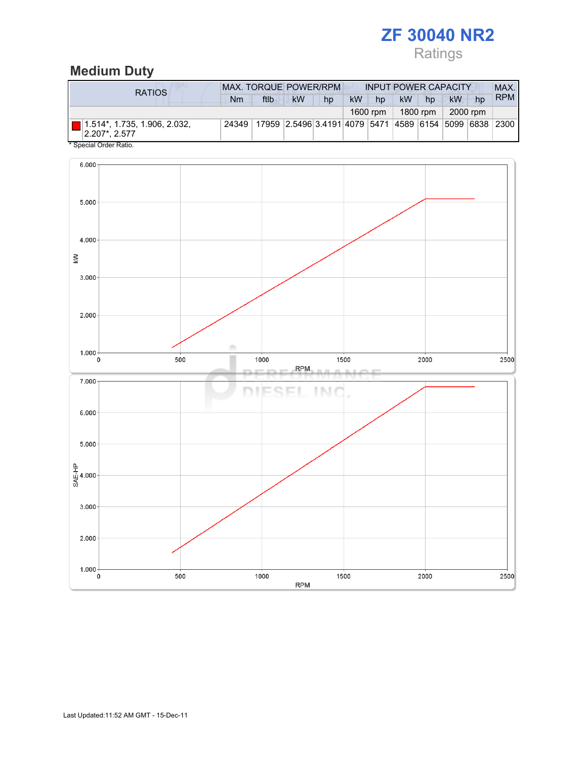## Ratings

## Medium Duty

| RATIOS                                                               | <b>MAX. TORQUE POWER/RPM</b><br><b>INPUT POWER CAPACITY</b> |      |                                                        |    |    |          |           |          |           |    | MAX.       |
|----------------------------------------------------------------------|-------------------------------------------------------------|------|--------------------------------------------------------|----|----|----------|-----------|----------|-----------|----|------------|
|                                                                      | Nm                                                          | ftlb | <b>kW</b>                                              | hp | kW | hp       | <b>kW</b> | hp       | <b>kW</b> | hp | <b>RPM</b> |
|                                                                      |                                                             |      |                                                        |    |    | 1600 rpm |           | 1800 rpm | 2000 rpm  |    |            |
| $\Box$ 1.514*, 1.735, 1.906, 2.032,<br>$ 2.207$ <sup>*</sup> , 2.577 | 24349                                                       |      | 17959 2.5496 3.4191 4079 5471 4589 6154 5099 6838 2300 |    |    |          |           |          |           |    |            |

Special Order Ratio.

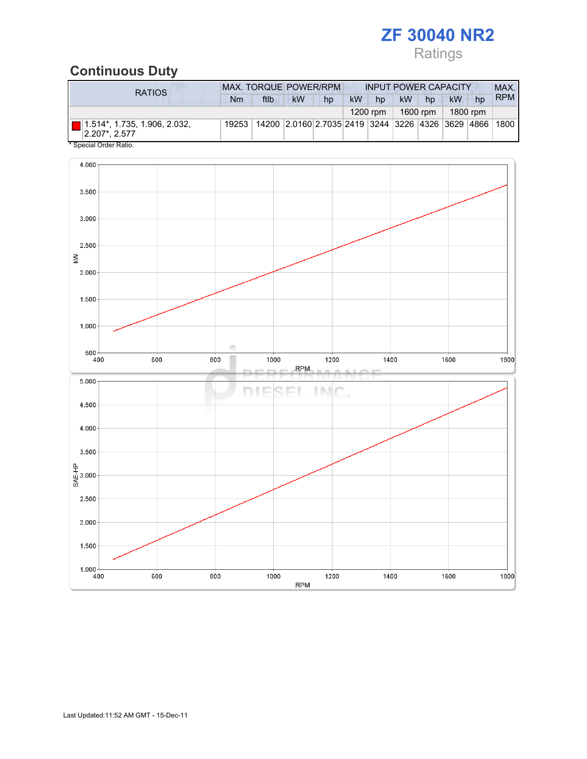## Ratings

### Continuous Duty

| RATIOS                                                               | <b>MAX. TORQUE POWER/RPM</b><br><b>INPUT POWER CAPACITY</b> |      |                                                        |    |           |            |           |          |    | MAX.     |            |
|----------------------------------------------------------------------|-------------------------------------------------------------|------|--------------------------------------------------------|----|-----------|------------|-----------|----------|----|----------|------------|
|                                                                      | Nm                                                          | ftlb | <b>kW</b>                                              | hp | <b>kW</b> | hp         | <b>kW</b> | hp       | kW | hp       | <b>RPM</b> |
|                                                                      |                                                             |      |                                                        |    |           | $1200$ rpm |           | 1600 rpm |    | 1800 rpm |            |
| $\Box$ 1.514*, 1.735, 1.906, 2.032,<br>$ 2.207$ <sup>*</sup> , 2.577 | 19253                                                       |      | 14200 2.0160 2.7035 2419 3244 3226 4326 3629 4866 1800 |    |           |            |           |          |    |          |            |
| * Special Order Ratio.                                               |                                                             |      |                                                        |    |           |            |           |          |    |          |            |

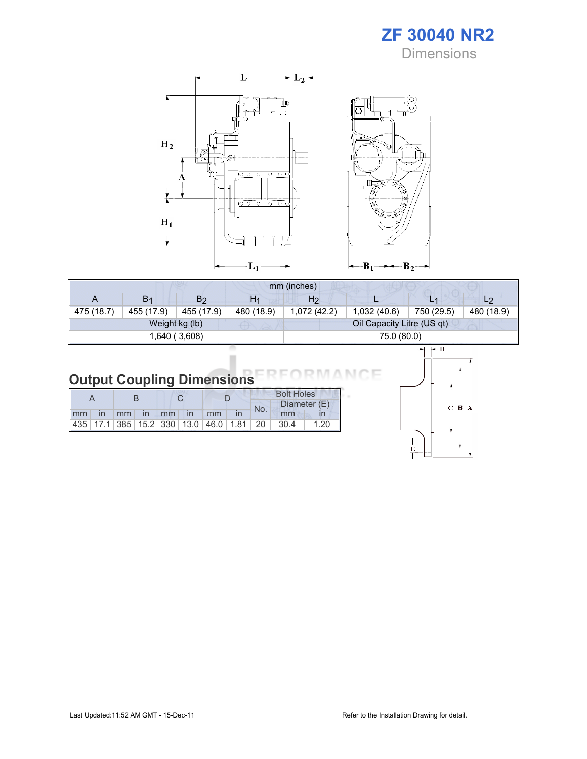



| mm (inches) |                |                |                |                |                            |            |                |  |
|-------------|----------------|----------------|----------------|----------------|----------------------------|------------|----------------|--|
| A           | B <sub>1</sub> | B <sub>2</sub> | H <sub>1</sub> | H <sub>2</sub> |                            | L1         | L <sub>2</sub> |  |
| 475 (18.7)  | 455 (17.9)     | 455 (17.9)     | 480 (18.9)     | 1,072 (42.2)   | 1,032(40.6)                | 750 (29.5) | 480 (18.9)     |  |
|             |                | Weight kg (lb) |                |                | Oil Capacity Litre (US qt) |            |                |  |
|             |                | 1,640 (3,608)  |                |                | 75.0 (80.0)                |            |                |  |

## Output Coupling Dimensions

|  |  |                      |                                                         |  |     | <b>Bolt Holes</b> |      |  |  |
|--|--|----------------------|---------------------------------------------------------|--|-----|-------------------|------|--|--|
|  |  |                      |                                                         |  | No. | Diameter (E)      |      |  |  |
|  |  | mm in mm in mm in mm |                                                         |  |     | mm                |      |  |  |
|  |  |                      | 435   17.1   385   15.2   330   13.0   46.0   1.81   20 |  |     | - 30.4            | 1.20 |  |  |